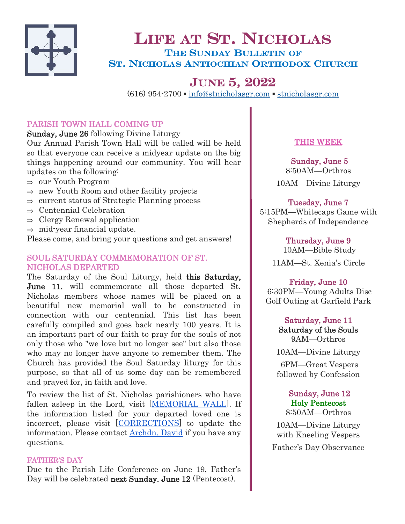

# LIFE AT ST. NICHOLAS THE SUNDAY BULLETIN OF ST. NICHOLAS ANTIOCHIAN ORTHODOX CHURCH

# JUNE 5, 2022

 $(616)$  954-2700  $\bullet$  [info@stnicholasgr.com](mailto:info@stnicholasgr.com)  $\bullet$  <stnicholasgr.com>

# PARISH TOWN HALL COMING UP

Sunday, June 26 following Divine Liturgy

Our Annual Parish Town Hall will be called will be held so that everyone can receive a midyear update on the big things happening around our community. You will hear updates on the following:

- $\Rightarrow$  our Youth Program
- $\Rightarrow$  new Youth Room and other facility projects
- $\Rightarrow$  current status of Strategic Planning process
- $\Rightarrow$  Centennial Celebration
- $\Rightarrow$  Clergy Renewal application
- $\Rightarrow$  mid-year financial update.

Please come, and bring your questions and get answers!

## SOUL SATURDAY COMMEMORATION OF ST. NICHOLAS DEPARTED

The Saturday of the Soul Liturgy, held this Saturday, June 11, will commemorate all those departed St. Nicholas members whose names will be placed on a beautiful new memorial wall to be constructed in connection with our centennial. This list has been carefully compiled and goes back nearly 100 years. It is an important part of our faith to pray for the souls of not only those who "we love but no longer see" but also those who may no longer have anyone to remember them. The Church has provided the Soul Saturday liturgy for this purpose, so that all of us some day can be remembered and prayed for, in faith and love.

To review the list of St. Nicholas parishioners who have fallen asleep in the Lord, visit [\[MEMORIAL WALL\].](https://stnicholasgr.com/wp-content/uploads/2022/06/Names-by-Year-0322.pdf) If the information listed for your departed loved one is incorrect, please visit [[CORRECTIONS\]](https://stnicholasgr.breezechms.com/form/e6628d) to update the information. Please contact **[Archdn. David](mailto:dekhorey@gmail.com)** if you have any questions.

## FATHER'S DAY

Due to the Parish Life Conference on June 19, Father's Day will be celebrated next Sunday. June 12 (Pentecost).

# THIS WEEK

Sunday, June 5 8:50AM—Orthros 10AM—Divine Liturgy

# Tuesday, June 7

5:15PM—Whitecaps Game with Shepherds of Independence

Thursday, June 9

 10AM—Bible Study 11AM—St. Xenia's Circle

# Friday, June 10

 6:30PM—Young Adults Disc Golf Outing at Garfield Park

> Saturday, June 11 Saturday of the Souls 9AM—Orthros

10AM—Divine Liturgy

6PM—Great Vespers followed by Confession

## Sunday, June 12 Holy Pentecost 8:50AM—Orthros

10AM—Divine Liturgy with Kneeling Vespers Father's Day Observance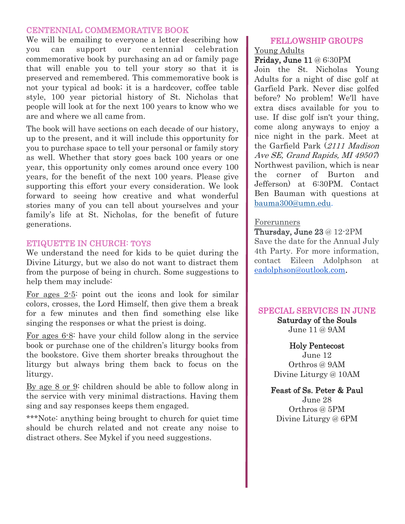#### CENTENNIAL COMMEMORATIVE BOOK

We will be emailing to everyone a letter describing how you can support our centennial celebration commemorative book by purchasing an ad or family page that will enable you to tell your story so that it is preserved and remembered. This commemorative book is not your typical ad book; it is a hardcover, coffee table style, 100 year pictorial history of St. Nicholas that people will look at for the next 100 years to know who we are and where we all came from.

The book will have sections on each decade of our history, up to the present, and it will include this opportunity for you to purchase space to tell your personal or family story as well. Whether that story goes back 100 years or one year, this opportunity only comes around once every 100 years, for the benefit of the next 100 years. Please give supporting this effort your every consideration. We look forward to seeing how creative and what wonderful stories many of you can tell about yourselves and your family's life at St. Nicholas, for the benefit of future generations.

#### ETIQUETTE IN CHURCH: TOYS

We understand the need for kids to be quiet during the Divine Liturgy, but we also do not want to distract them from the purpose of being in church. Some suggestions to help them may include:

For ages 2-5: point out the icons and look for similar colors, crosses, the Lord Himself, then give them a break for a few minutes and then find something else like singing the responses or what the priest is doing.

For ages 6-8: have your child follow along in the service book or purchase one of the children's liturgy books from the bookstore. Give them shorter breaks throughout the liturgy but always bring them back to focus on the liturgy.

By age 8 or 9: children should be able to follow along in the service with very minimal distractions. Having them sing and say responses keeps them engaged.

\*\*\*Note: anything being brought to church for quiet time should be church related and not create any noise to distract others. See Mykel if you need suggestions.

#### FELLOWSHIP GROUPS Young Adults

#### Friday, June 11 @ 6:30PM

Join the St. Nicholas Young Adults for a night of disc golf at Garfield Park. Never disc golfed before? No problem! We'll have extra discs available for you to use. If disc golf isn't your thing, come along anyways to enjoy a nice night in the park. Meet at the Garfield Park (2111 Madison Ave SE, Grand Rapids, MI 49507) Northwest pavilion, which is near the corner of Burton and Jefferson) at 6:30PM. Contact Ben Bauman with questions at [bauma300@umn.edu.](mailto:bauma300@umn.edu)

#### Forerunners

Thursday, June 23 @ 12-2PM Save the date for the Annual July 4th Party. For more information, contact Eileen Adolphson at [eadolphson@outlook.com.](mailto:eadolphson@outlook.com)

## SPECIAL SERVICES IN JUNE

Saturday of the Souls June 11 @ 9AM

## Holy Pentecost

June 12 Orthros @ 9AM Divine Liturgy @ 10AM

## Feast of Ss. Peter & Paul

June 28 Orthros @ 5PM Divine Liturgy @ 6PM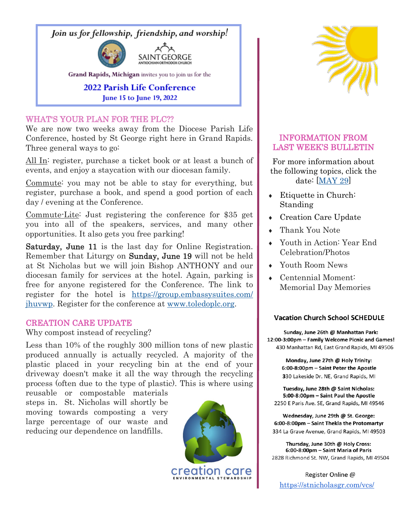Join us for fellowship, friendship, and worship!



Grand Rapids, Michigan invites you to join us for the

# **2022 Parish Life Conference** June 15 to June 19, 2022

## WHAT'S YOUR PLAN FOR THE PLC??

We are now two weeks away from the Diocese Parish Life Conference, hosted by St George right here in Grand Rapids. Three general ways to go:

All In: register, purchase a ticket book or at least a bunch of events, and enjoy a staycation with our diocesan family.

Commute: you may not be able to stay for everything, but register, purchase a book, and spend a good portion of each day / evening at the Conference.

Commute-Lite: Just registering the conference for \$35 get you into all of the speakers, services, and many other opportunities. It also gets you free parking!

Saturday, June 11 is the last day for Online Registration. Remember that Liturgy on Sunday, June 19 will not be held at St Nicholas but we will join Bishop ANTHONY and our diocesan family for services at the hotel. Again, parking is free for anyone registered for the Conference. The link to register for the hotel is [https://group.embassysuites.com/](https://group.embassysuites.com/jhuvwp) [jhuvwp.](https://group.embassysuites.com/jhuvwp) Register for the conference at [www.toledoplc.org.](http://www.toledoplc.org)

## CREATION CARE UPDATE

Why compost instead of recycling?

Less than 10% of the roughly 300 million tons of new plastic produced annually is actually recycled. A majority of the plastic placed in your recycling bin at the end of your driveway doesn't make it all the way through the recycling process (often due to the type of plastic). This is where using

reusable or compostable materials steps in. St. Nicholas will shortly be moving towards composting a very large percentage of our waste and reducing our dependence on landfills.





## INFORMATION FROM LAST WEEK'S BULLETIN

For more information about the following topics, click the date: [\[MAY 29\]](https://stnicholasgr.com/wp-content/uploads/2022/05/052922.pdf)

- Etiquette in Church: Standing
- Creation Care Update
- Thank You Note
- Youth in Action: Year End Celebration/Photos
- Youth Room News
- Centennial Moment: Memorial Day Memories

#### **Vacation Church School SCHEDULE**

Sunday, June 26th @ Manhattan Park: 12:00-3:00pm - Family Welcome Picnic and Games! 430 Manhattan Rd, East Grand Rapids, MI 49506

> Monday, June 27th @ Holy Trinity: 6:00-8:00pm - Saint Peter the Apostle 330 Lakeside Dr. NE, Grand Rapids, MI

Tuesday, June 28th @ Saint Nicholas: 5:00-8:00pm - Saint Paul the Apostle 2250 E Paris Ave. SE, Grand Rapids, MI 49546

Wednesday, June 29th @ St. George: 6:00-8:00pm - Saint Thekla the Protomartyr 334 La Grave Avenue, Grand Rapids, MI 49503

Thursday, June 30th @ Holy Cross: 6:00-8:00pm - Saint Maria of Paris 2828 Richmond St. NW, Grand Rapids, MI 49504

Register Online @ <https://stnicholasgr.com/vcs/>